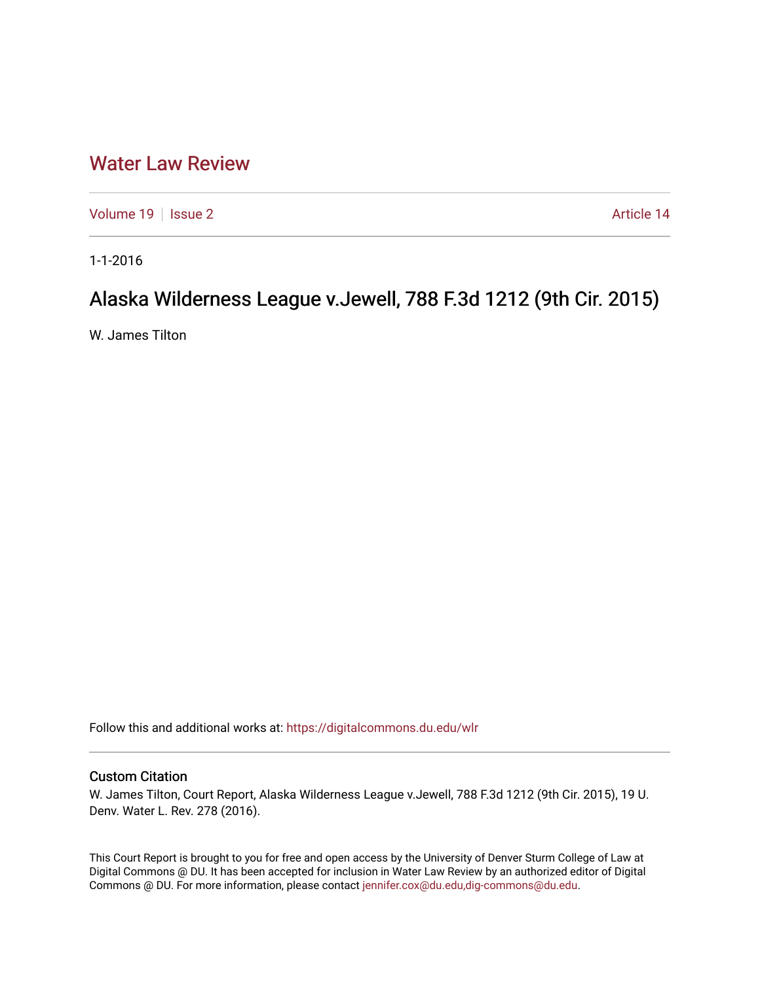## [Water Law Review](https://digitalcommons.du.edu/wlr)

[Volume 19](https://digitalcommons.du.edu/wlr/vol19) | [Issue 2](https://digitalcommons.du.edu/wlr/vol19/iss2) Article 14

1-1-2016

## Alaska Wilderness League v.Jewell, 788 F.3d 1212 (9th Cir. 2015)

W. James Tilton

Follow this and additional works at: [https://digitalcommons.du.edu/wlr](https://digitalcommons.du.edu/wlr?utm_source=digitalcommons.du.edu%2Fwlr%2Fvol19%2Fiss2%2F14&utm_medium=PDF&utm_campaign=PDFCoverPages) 

## Custom Citation

W. James Tilton, Court Report, Alaska Wilderness League v.Jewell, 788 F.3d 1212 (9th Cir. 2015), 19 U. Denv. Water L. Rev. 278 (2016).

This Court Report is brought to you for free and open access by the University of Denver Sturm College of Law at Digital Commons @ DU. It has been accepted for inclusion in Water Law Review by an authorized editor of Digital Commons @ DU. For more information, please contact [jennifer.cox@du.edu,dig-commons@du.edu.](mailto:jennifer.cox@du.edu,dig-commons@du.edu)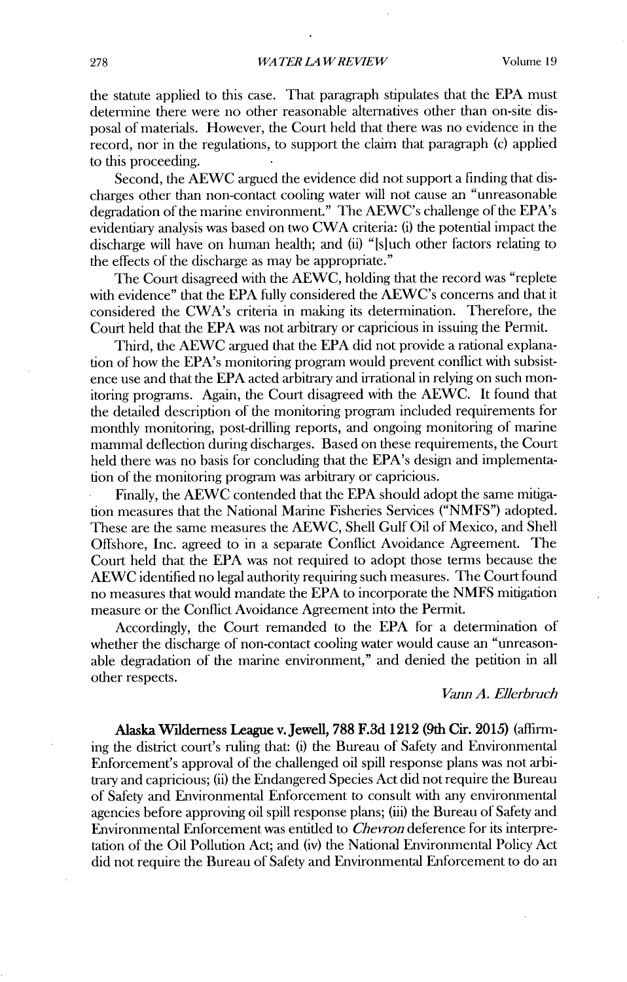the statute applied to this case. That paragraph stipulates that the EPA must determine there were no other reasonable alternatives other than on-site disposal of materials. However, the Court held that there was no evidence in the record, nor in the regulations, to support the claim that paragraph (c) applied to this proceeding.

Second, the AEWC argued the evidence did not support a finding that discharges other than non-contact cooling water will not cause an "unreasonable degradation of the marine environment." The AEWC's challenge of the EPA's evidentiary analysis was based on two CWA criteria: (i) the potential impact the discharge will have on human health; and (ii) "[sluch other factors relating to the effects of the discharge as may be appropriate."

The Court disagreed with the AEWC, holding that the record was "replete with evidence" that the EPA fully considered the AEWC's concerns and that it considered the CWA's criteria in making its determination. Therefore, the Court held that the EPA was not arbitrary or capricious in issuing the Permit.

Third, the AEWC argued that the EPA did not provide a rational explanation of how the EPA's monitoring program would prevent conflict with subsistence use and that the EPA acted arbitrary and irrational in relying on such monitoring programs. Again, the Court disagreed with the AEWC. It found that the detailed description of the monitoring program included requirements for monthly monitoring, post-drilling reports, and ongoing monitoring of marine mammal deflection during discharges. Based on these requirements, the Court held there was no basis for concluding that the EPA's design and implementation of the monitoring program was arbitrary or capricious.

Finally, the AEWC contended that the EPA should adopt the same nitigation measures that the National Marine Fisheries Services ("NMFS") adopted. These are the same measures the AEWC, Shell Gulf Oil of Mexico, and Shell Offshore, Inc. agreed to in a separate Conflict Avoidance Agreement. The Court held that the EPA was not required to adopt those terms because the AEWC identified no legal authority requiring such measures. The Court found no measures that would mandate the EPA to incorporate the NMFS mitigation measure or the Conflict Avoidance Agreement into the Permit.

Accordingly, the Court remanded to the EPA for a determination of whether the discharge of non-contact cooling water would cause an "unreasonable degradation of the marine environment," and denied the petition in all other respects.

## *Vann A. Ellerbruch*

Alaska Wilderness League v.Jewell, 788 F.3d 1212 (9th Cir. **2015)** (affirming the district court's ruling that: (i) the Bureau of Safety and Environmental Enforcement's approval of the challenged oil spill response plans was not arbitrary and capricious; (ii) the Endangered Species Act did not require the Bureau of Safety and Environmental Enforcement to consult with any enviromnental agencies before approving oil spill response plans; (iii) the Bureau of Safety and Environmental Enforcement was entitled to *Chevron* deference for its interpretation of the Oil Pollution Act; and (iv) the National Environmental Policy Act did not require the Bureau of Safety and Environmental Enforcement to do an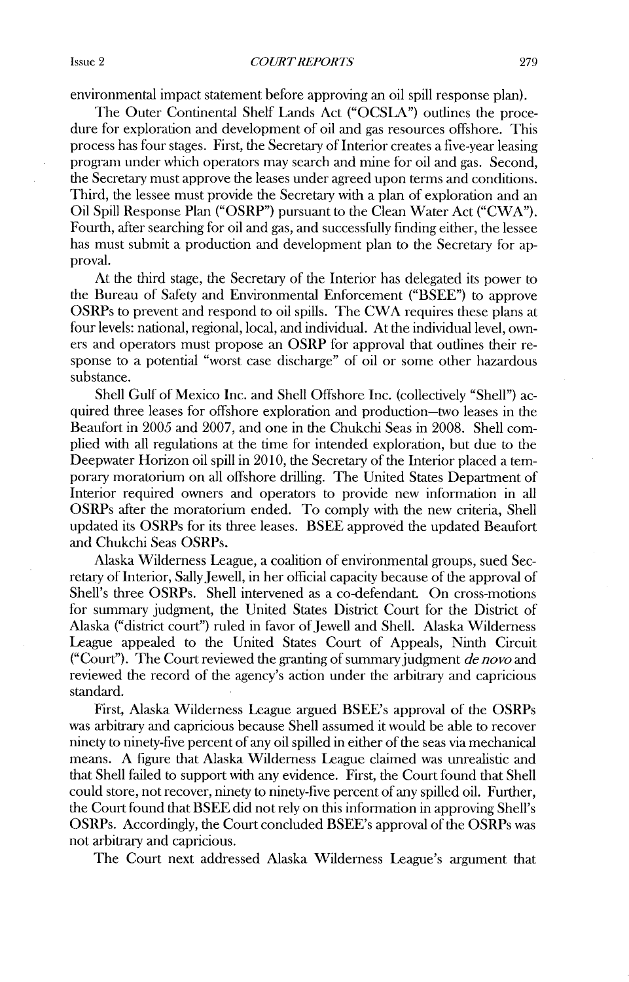environmental impact statement before approving an oil spill response plan).

The Outer Continental Shelf Lands Act ("OCSLA") outlines the procedure for exploration and development of oil and gas resources offshore. This process has four stages. First, the Secretary of Interior creates a five-year leasing program under which operators may search and mine for oil and gas. Second, the Secretary must approve the leases under agreed upon terms and conditions. Third, the lessee must provide the Secretary with a plan of exploration and an Oil Spill Response Plan **("OSRP")** pursuant to the Clean Water Act ("CWA"). Fourth, after searching for oil and gas, and successfully finding either, the lessee has must submit a production and development plan to the Secretary for approval.

At the third stage, the Secretary of the Interior has delegated its power to the Bureau of Safety and Environmental Enforcement ("BSEE") to approve OSRPs to prevent and respond to oil spills. The CWA requires these plans at four levels: national, regional, local, and individual. At the individual level, owners and operators must propose an OSRP for approval that outlines their response to a potential "worst case discharge" of oil or some other hazardous substance.

Shell Gulf of Mexico Inc. and Shell Offshore Inc. (collectively "Shell") acquired three leases for offshore exploration and production-two leases in the Beaufort in 2005 and 2007, and one in the Chukchi Seas in 2008. Shell complied with all regulations at the time for intended exploration, but due to the Deepwater Horizon oil spill in 2010, the Secretary of the Interior placed a temporary moratorium on all offshore drilling. The United States Department of Interior required owners and operators to provide new information in all OSRPs after the moratorium ended. To comply with the new criteria, Shell updated its OSRPs for its three leases. BSEE approved the updated Beaufort and Chukchi Seas OSRPs.

Alaska Wilderness League, a coalition of environmental groups, sued Secretary of Interior, SallyJewell, in her official capacity because of the approval of Shell's three OSRPs. Shell intervened as a co-defendant. On cross-motions for summary judgment, the United States District Court for the District of Alaska ("district court") ruled in favor of Jewell and Shell. Alaska Wilderness League appealed to the United States Court of Appeals, Ninth Circuit ("Court"). The Court reviewed the granting of summary judgment *de novo and* reviewed the record of the agency's action under the arbitrary and capricious standard.

First, Alaska Wilderness League argued BSEE's approval of the OSRPs was arbitrary and capricious because Shell assumed it would be able to recover ninety to ninety-five percent of any oil spilled in either of the seas via mechanical means. A figure that Alaska Wilderness League claimed was unrealistic and that Shell failed to support *with* any evidence. First, the Court found that Shell could store, not recover, ninety to ninety-five percent of any spilled oil. Further, the Court found that BSEE did not rely on this information in approving Shell's OSRPs. Accordingly, the Court concluded BSEE's approval of the OSRPs was not arbitrary and capricious.

The Court next addressed Alaska Wilderness League's argument that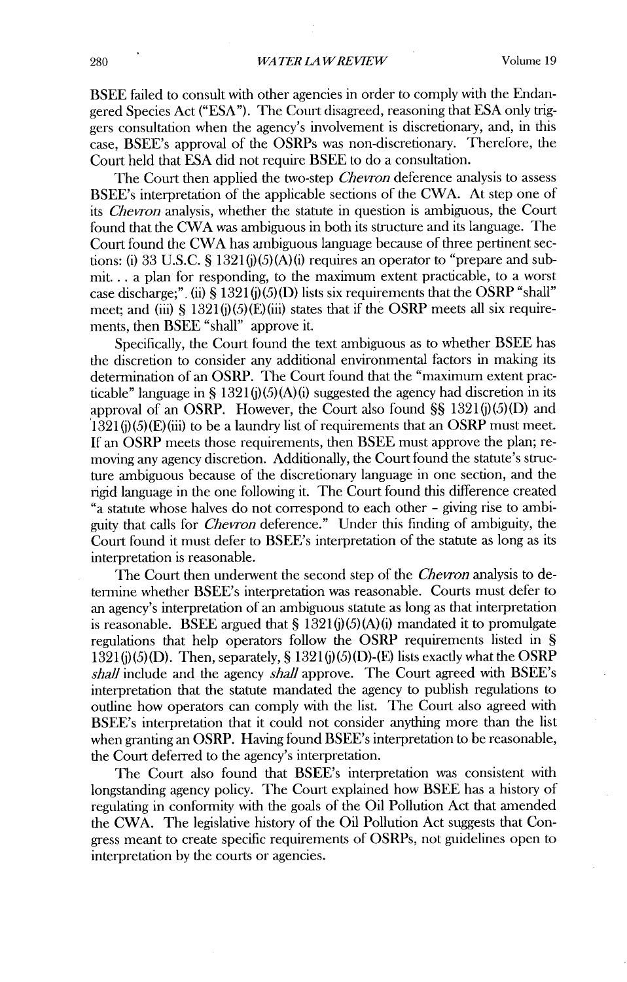BSEE failed to consult with other agencies in order to comply with the Endangered Species Act ("ESA"). The Court disagreed, reasoning that ESA only triggers consultation when the agency's involvement is discretionary, and, in this case, BSEE's approval of the OSRPs was non-discretionary. Therefore, the Court held that ESA did not require BSEE to do a consultation.

The Court then applied the two-step *Chevron* deference analysis to assess BSEE's interpretation of the applicable sections of the CWA. At step one of *its Chevron* analysis, whether the statute in question is ambiguous, the Court found that the CWA was ambiguous in both its structure and its language. The Court found the CWA has ambiguous language because of three pertinent sections: (i) 33 U.S.C. **§** 1321(j)(5)(A)(i) requires an operator to "prepare and submit.., a plan for responding, to the maximum extent practicable, to a worst case discharge;". (ii) **§** 1321 (j)(5)(D) lists six requirements that the OSRP "shall" meet; and (iii) **§** 1321(j)(5)(E)(iii) states that if the OSRP meets all six requirements, then BSEE "shall" approve it.

Specifically, the Court found the text ambiguous as to whether BSEE has the discretion to consider any additional environmental factors in making its determination of an OSRP. The Court found that the "maximum extent practicable" language in **§** 1321(j)(5)(A)(i) suggested the agency had discretion in its approval of an OSRP. However, the Court also found **§§** 1321(j)(5)(D) and  $1321(j)(5)(E)(iii)$  to be a laundry list of requirements that an OSRP must meet. If an OSRP meets those requirements, then BSEE must approve the plan; removing any agency discretion. Additionally, the Court found the statute's structure ambiguous because of the discretionary language in one section, and the rigid language in the one following it. The Court found this difference created *C"a* statute whose halves do not correspond to each other **-** giving rise to ambiguity that calls for *Chevron* deference." Under this finding of ambiguity, the Court found it must defer to BSEE's interpretation of the statute as long as its interpretation is reasonable.

The Court then underwent the second step of the *Chevron* analysis to detennine whether BSEE's interpretation was reasonable. Courts must defer to an agency's interpretation of an ambiguous statute as long as that interpretation is reasonable. BSEE argued that **§** 1321(j) (5) (A) (i) mandated it to promulgate regulations that help operators follow the OSRP requirements listed in **§** 1321(j)(5) (D). Then, separately, **§** 1321(j)(5)(D)-(E) lists exactly what the OSRP *shall* include and the agency *shall* approve. The Court agreed with BSEE's interpretation that the statute mandated the agency to publish regulations to outline how operators can comply with the list. The Court also agreed with BSEE's interpretation that it could not consider anything more than the list when granting an OSRP. Having found BSEE's interpretation to be reasonable, the Court deferred to the agency's interpretation.

The Court also found that BSEE's interpretation was consistent with longstanding agency policy. The Court explained how BSEE has a history of regulating in conformity with the goals of the Oil Pollution Act that amended the CWA. The legislative history of the Oil Pollution Act suggests that Congress meant to create specific requirements of OSRPs, not guidelines open to interpretation by the courts or agencies.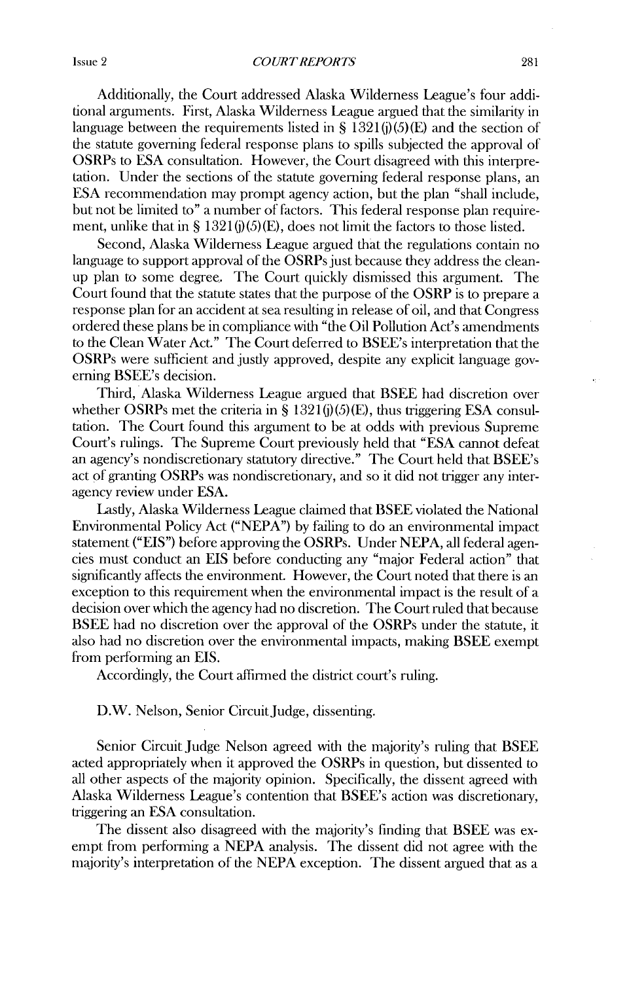*COURT REPORTS*

Additionally, the Court addressed Alaska Wilderness League's four additional arguments. First, Alaska Wilderness League argued that the similarity in language between the requirements listed in §  $1321(i)(5)(E)$  and the section of the statute governing federal response plans to spills subjected the approval of OSRPs to ESA consultation. However, the Court disagreed with this interpretation. Under the sections of the statute governing federal response plans, an ESA recommendation may prompt agency action, but the plan "shall include, but not be limited to" a number of factors. This federal response plan requirement, unlike that in § 1321 $(i)(5)(E)$ , does not limit the factors to those listed.

Second, Alaska Wilderness League argued that the regulations contain no language to support approval of the OSRPs just because they address the cleanup plan to some degree. The Court quickly dismissed this argument. The Court found that the statute states that the purpose of the OSRP is to prepare a response plan for an accident at sea resulting in release of oil, and that Congress ordered these plans be in compliance with "the Oil Pollution Act's amendiments to the Clean Water Act." The Court deferred to BSEE's interpretation that the OSRPs were sufficient and justly approved, despite any explicit language governing BSEE's decision.

Third, Alaska Wilderness League argued that BSEE had discretion over whether OSRPs met the criteria in § 1321(j)(5)(E), thus triggering ESA consultation. The Court found this argument to be at odds with previous Supreme Court's rulings. The Supreme Court previously held that "ESA cannot defeat an agency's nondiscretionary statutory directive." The Court held that BSEE's act of granting OSRPs was nondiscretionary, and so it did not trigger any interagency review under ESA.

Lastly, Alaska Wilderness League claimed that BSEE violated the National Environmental Policy Act ("NEPA") by failing to do an environmental impact statement ("EIS") before approving the OSRPs. Under NEPA, all federal agencies must conduct an EIS before conducting any "major Federal action" that significantly affects the environment. However, the Court noted that there is an exception to this requirement when the environmental impact is the result of a decision over which the agency had no discretion. The Court ruled that because BSEE had no discretion over the approval of the OSRPs under the statute, it also had no discretion over the environmental impacts, making BSEE exempt from performing an EIS.

Accordingly, the Court affinned the district court's ruling.

D.W. Nelson, Senior Circuit Judge, dissenting.

Senior Circuit Judge Nelson agreed with the majority's ruling that BSEE acted appropriately when it approved the OSRPs in question, but dissented to all other aspects of the majority opinion. Specifically, the dissent agreed with Alaska Wilderness League's contention that BSEE's action was discretionary, triggering an ESA consultation.

The dissent also disagreed with the majority's finding that BSEE was exempt from performing a NEPA analysis. The dissent did not agree with the majority's interpretation of the NEPA exception. The dissent argued that as a